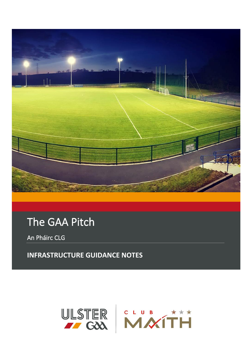

# The GAA Pitch

An Pháirc CLG

**INFRASTRUCTURE GUIDANCE NOTES**

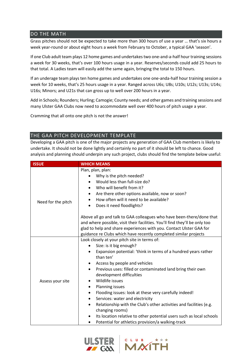#### DO THE MATH

Grass pitches should not be expected to take more than 300 hours of use a year … that's six hours a week year-round or about eight hours a week from February to October, a typical GAA 'season'.

If one Club adult team plays 12 home games and undertakes two one-and-a-half hour training sessions a week for 30 weeks, that's over 100 hours usage in a year. Reserves/seconds could add 25 hours to that total. A Ladies team will easily add the same again, bringing the total to 150 hours.

If an underage team plays ten home games and undertakes one one-anda-half hour training session a week for 10 weeks, that's 25 hours usage in a year. Ranged across U6s; U8s; U10s; U12s; U13s; U14s; U16s; Minors; and U21s that can gross up to well over 200 hours in a year.

Add in Schools; Rounders; Hurling; Camogie; County needs; and other games and training sessions and many Ulster GAA Clubs now need to accommodate well over 400 hours of pitch usage a year.

Cramming that all onto one pitch is not the answer!

## THE GAA PITCH DEVELOPMENT TEMPLATE

Developing a GAA pitch is one of the major projects any generation of GAA Club members is likely to undertake. It should not be done lightly and certainly no part of it should be left to chance. Good analysis and planning should underpin any such project, clubs should find the template below useful:

| <b>ISSUE</b>       | <b>WHICH MEANS</b>                                                                                                                                   |  |  |  |  |  |  |
|--------------------|------------------------------------------------------------------------------------------------------------------------------------------------------|--|--|--|--|--|--|
| Need for the pitch | Plan, plan, plan:                                                                                                                                    |  |  |  |  |  |  |
|                    | Why is the pitch needed?                                                                                                                             |  |  |  |  |  |  |
|                    | Would less than full-size do?                                                                                                                        |  |  |  |  |  |  |
|                    | Who will benefit from it?                                                                                                                            |  |  |  |  |  |  |
|                    | Are there other options available, now or soon?<br>٠                                                                                                 |  |  |  |  |  |  |
|                    | How often will it need to be available?<br>$\bullet$                                                                                                 |  |  |  |  |  |  |
|                    | Does it need floodlights?<br>$\bullet$                                                                                                               |  |  |  |  |  |  |
|                    | Above all go and talk to GAA colleagues who have been-there/done that<br>and where possible, visit their facilities. You'll find they'll be only too |  |  |  |  |  |  |
|                    | glad to help and share experiences with you. Contact Ulster GAA for                                                                                  |  |  |  |  |  |  |
|                    | guidance re Clubs which have recently completed similar projects                                                                                     |  |  |  |  |  |  |
|                    | Look closely at your pitch site in terms of:                                                                                                         |  |  |  |  |  |  |
|                    | Size: is it big enough?                                                                                                                              |  |  |  |  |  |  |
|                    | Expansion potential: 'think in terms of a hundred years rather<br>٠                                                                                  |  |  |  |  |  |  |
|                    | than ten'                                                                                                                                            |  |  |  |  |  |  |
|                    | Access by people and vehicles<br>٠                                                                                                                   |  |  |  |  |  |  |
|                    | Previous uses: filled or contaminated land bring their own<br>$\bullet$                                                                              |  |  |  |  |  |  |
|                    | development difficulties                                                                                                                             |  |  |  |  |  |  |
| Assess your site   | Wildlife issues<br>$\bullet$                                                                                                                         |  |  |  |  |  |  |
|                    | <b>Planning issues</b><br>٠                                                                                                                          |  |  |  |  |  |  |
|                    | Flooding issues: look at these very carefully indeed!<br>٠                                                                                           |  |  |  |  |  |  |
|                    | Services: water and electricity<br>٠                                                                                                                 |  |  |  |  |  |  |
|                    | Relationship with the Club's other activities and facilities (e.g.<br>$\bullet$<br>changing rooms)                                                   |  |  |  |  |  |  |
|                    | Its location relative to other potential users such as local schools<br>$\bullet$                                                                    |  |  |  |  |  |  |
|                    | Potential for athletics provision/a walking-track<br>$\bullet$                                                                                       |  |  |  |  |  |  |



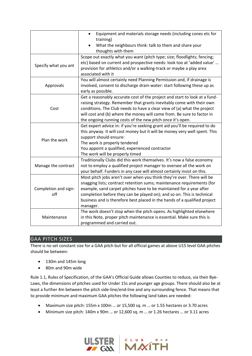|                      | Equipment and materials storage needs (including cones etc for<br>$\bullet$<br>training) |
|----------------------|------------------------------------------------------------------------------------------|
|                      | What the neighbours think: talk to them and share your                                   |
|                      | thoughts with them                                                                       |
|                      | Scope out exactly what you want (pitch type; size; floodlights; fencing;                 |
|                      | etc) based on current and prospective needs: look too at 'added value'                   |
| Specify what you ant | provision for athletics and/or a walking-track or maybe a play area                      |
|                      | associated with it                                                                       |
|                      | You will almost certainly need Planning Permission and, if drainage is                   |
| Approvals            | involved, consent to discharge drain-water: start following these up as                  |
|                      | early as possible.                                                                       |
|                      | Get a reasonably accurate cost of the project and start to look at a fund-               |
|                      | raising strategy. Remember that grants inevitably come with their own                    |
| Cost                 | conditions. The Club needs to have a clear view of (a) what the project                  |
|                      | will cost and (b) where the money will come from. Be sure to factor in                   |
|                      | the ongoing running costs of the new pitch once it's open.                               |
|                      | Get expert advice in: if you're seeking grant aid you'll be required to do               |
|                      | this anyway. It will cost money but it will be money very well spent. This               |
| Plan the work        | support should ensure:                                                                   |
|                      | The work is properly tendered                                                            |
|                      | You appoint a qualified, experienced contractor                                          |
|                      | The work will be properly timed                                                          |
|                      | Traditionally Clubs did this work themselves. It's now a false economy                   |
| Manage the contract  | not to employ a qualified project manager to oversee all the work on                     |
|                      | your behalf. Funders in any case will almost certainly insist on this.                   |
|                      | Most pitch jobs aren't over when you think they're over. There will be                   |
| Completion and sign- | snagging lists; contract retention sums; maintenance requirements (for                   |
|                      | example, sand carpet pitches have to be maintained for a year after                      |
| off                  | completion before they can be played on); and so on. This is technical                   |
|                      | business and is therefore best placed in the hands of a qualified project                |
|                      | manager.                                                                                 |
|                      | The work doesn't stop when the pitch opens. As highlighted elsewhere                     |
| Maintenance          | in this Note, proper pitch maintenance is essential. Make sure this is                   |
|                      | programmed and carried out.                                                              |

# GAA PITCH SIZES

There is no set constant size for a GAA pitch but for all official games at above U15 level GAA pitches should be between:

- 130m and 145m long
- 80m and 90m wide

Rule 1.1, Rules of Specification, of the GAA's Official Guide allows Counties to reduce, via their Bye-Laws, the dimensions of pitches used for Under 15s and younger age groups. There should also be at least a further 4m between the pitch side-line/end-line and any surrounding fence. That means that to provide minimum and maximum GAA pitches the following land takes are needed:

- Maximum size pitch: 155m x 100m … or 15,500 sq. m … or 1.55 hectares or 3.70 acres
- Minimum size pitch: 140m x 90m … or 12,600 sq. m … or 1.26 hectares … or 3.11 acres

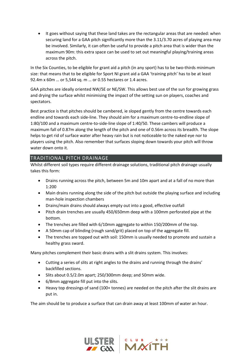• It goes without saying that these land takes are the rectangular areas that are needed: when securing land for a GAA pitch significantly more than the 3.11/3.70 acres of playing area may be involved. Similarly, it can often be useful to provide a pitch area that is wider than the maximum 90m: this extra space can be used to set out meaningful playing/training areas across the pitch.

In the Six Counties, to be eligible for grant aid a pitch (in any sport) has to be two-thirds minimum size: that means that to be eligible for Sport NI grant aid a GAA 'training pitch' has to be at least 92.4m x 60m … or 5,544 sq. m … or 0.55 hectares or 1.4 acres.

GAA pitches are ideally oriented NW/SE or NE/SW. This allows best use of the sun for growing grass and drying the surface whilst minimising the impact of the setting sun on players, coaches and spectators.

Best practice is that pitches should be cambered, ie sloped gently from the centre towards each endline and towards each side-line. They should aim for a maximum centre-to-endline slope of 1:80/100 and a maximum centre-to-side-line slope of 1:40/50. These cambers will produce a maximum fall of 0.87m along the length of the pitch and one of 0.56m across its breadth. The slope helps to get rid of surface water after heavy rain but is not noticeable to the naked eye nor to players using the pitch. Also remember that surfaces sloping down towards your pitch will throw water down onto it.

# TRADITIONAL PITCH DRAINAGE

Whilst different soil types require different drainage solutions, traditional pitch drainage usually takes this form:

- Drains running across the pitch, between 5m and 10m apart and at a fall of no more than 1:200
- Main drains running along the side of the pitch but outside the playing surface and including man-hole inspection chambers
- Drains/main drains should always empty out into a good, effective outfall
- Pitch drain trenches are usually 450/650mm deep with a 100mm perforated pipe at the bottom.
- The trenches are filled with 6/10mm aggregate to within 150/200mm of the top.
- A 50mm cap of blinding (rough sand/grit) placed on top of the aggregate fill.
- The trenches are topped out with soil: 150mm is usually needed to promote and sustain a healthy grass sward.

Many pitches complement their basic drains with a slit drains system. This involves:

- Cutting a series of slits at right angles to the drains and running through the drains' backfilled sections.
- Slits about 0.5/2.0m apart; 250/300mm deep; and 50mm wide.
- 6/8mm aggregate fill put into the slits.
- Heavy top dressings of sand (100+ tonnes) are needed on the pitch after the slit drains are put in.

The aim should be to produce a surface that can drain away at least 100mm of water an hour.



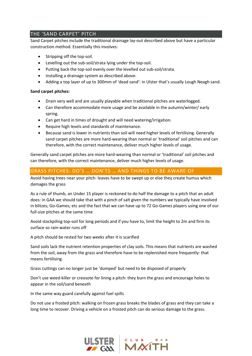# THE 'SAND CARPET' PITCH

Sand Carpet pitches include the traditional drainage lay-out described above but have a particular construction method. Essentially this involves:

- Stripping off the top-soil.
- Levelling out the sub-soil/strata lying under the top-soil.
- Putting back the top-soil evenly over the levelled out sub-soil/strata.
- Installing a drainage system as described above.
- Adding a top layer of up to 300mm of 'dead sand': in Ulster that's usually Lough Neagh sand.

#### **Sand carpet pitches:**

- Drain very well and are usually playable when traditional pitches are waterlogged.
- Can therefore accommodate more usage and be available in the autumn/winter/ early spring.
- Can get hard in times of drought and will need watering/irrigation.
- Require high levels and standards of maintenance.
- Because sand is lower in nutrients than soil will need higher levels of fertilising. Generally sand carpet pitches are more hard-wearing than normal or 'traditional' soil pitches and can therefore, with the correct maintenance, deliver much higher levels of usage.

Generally sand carpet pitches are more hard-wearing than normal or 'traditional' soil pitches and can therefore, with the correct maintenance, deliver much higher levels of usage.

## GRASS PITCHES: DO'S … DON'TS … AND THINGS TO BE AWARE OF

Avoid having trees near your pitch: leaves have to be swept up or else they create humus which damages the grass

As a rule of thumb, an Under 15 player is reckoned to do half the damage to a pitch that an adult does: in GAA we should take that with a pinch of salt given the numbers we typically have involved in blitzes; Go-Games; etc and the fact that we can have up to 72 Go-Games players using one of our full-size pitches at the same time

Avoid stockpiling top-soil for long periods and if you have to, limit the height to 2m and firm its surface so rain-water runs off

A pitch should be rested for two weeks after it is scarified

Sand soils lack the nutrient retention properties of clay soils. This means that nutrients are washed from the soil, away from the grass and therefore have to be replenished more frequently: that means fertilising.

Grass cuttings can no longer just be 'dumped' but need to be disposed of properly

Don't use weed-killer or creosote for lining a pitch: they burn the grass and encourage holes to appear in the soil/sand beneath

In the same way guard carefully against fuel spills

Do not use a frosted pitch: walking on frozen grass breaks the blades of grass and they can take a long time to recover. Driving a vehicle on a frosted pitch can do serious damage to the grass.

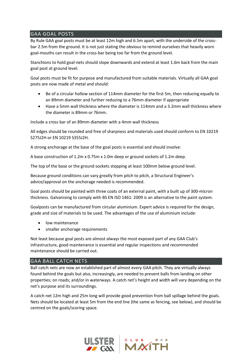# GAA GOAL POSTS

By Rule GAA goal posts must be at least 12m high and 6.5m apart, with the underside of the crossbar 2.5m from the ground. It is not just stating the obvious to remind ourselves that heavily worn goal-mouths can result in the cross-bar being too far from the ground level.

Stanchions to hold goal-nets should slope downwards and extend at least 1.6m back from the main goal post at ground level.

Goal posts must be fit for purpose and manufactured from suitable materials. Virtually all GAA goal posts are now made of metal and should:

- Be of a circular hollow section of 114mm diameter for the first 5m, then reducing equally to an 89mm diameter and further reducing to a 76mm diameter if appropriate
- Have a 5mm wall thickness where the diameter is 114mm and a 3.2mm wall thickness where the diameter is 89mm or 76mm.

Include a cross bar of an 89mm diameter with a 4mm wall thickness

All edges should be rounded and free of sharpness and materials used should conform to EN 10219 S275J2H or EN 10219 S355J2H.

A strong anchorage at the base of the goal posts is essential and should involve:

A base construction of 1.2m x 0.75m x 1.0m deep or ground sockets of 1.2m deep.

The top of the base or the ground sockets stopping at least 100mm below ground level.

Because ground conditions can vary greatly from pitch to pitch, a Structural Engineer's advice/approval on the anchorage needed is recommended.

Goal posts should be painted with three coats of an external paint, with a built up of 300-micron thickness. Galvanising to comply with BS EN ISO 1461: 2009 is an alternative to the paint system.

Goalposts can be manufactured from circular aluminium. Expert advice is required for the design, grade and size of materials to be used. The advantages of the use of aluminium include:

- low maintenance
- smaller anchorage requirements

Not least because goal posts are almost always the most exposed part of any GAA Club's infrastructure, good maintenance is essential and regular inspections and recommended maintenance should be carried out.

#### GAA BALL CATCH NETS

Ball catch nets are now an established part of almost every GAA pitch. They are virtually always found behind the goals but also, increasingly, are needed to prevent balls from landing on other properties; on roads; and/or in waterways. A catch net's height and width will vary depending on the net's purpose and its surroundings.

A catch net 12m high and 25m long will provide good prevention from ball spillage behind the goals. Nets should be located at least 5m from the end line (the same as fencing, see below), and should be centred on the goals/scoring space.

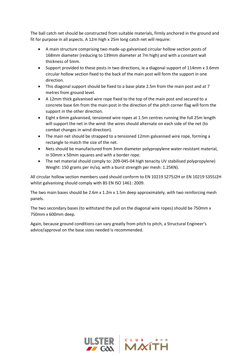The ball catch net should be constructed from suitable materials, firmly anchored in the ground and fit for purpose in all aspects. A 12m high x 25m long catch net will require:

- A main structure comprising two made-up galvanised circular hollow section posts of 168mm diameter (reducing to 139mm diameter at 7m high) and with a constant wall thickness of 5mm.
- Support provided to these posts in two directions, ie a diagonal support of 114mm x 3.6mm circular hollow section fixed to the back of the main post will form the support in one direction.
- This diagonal support should be fixed to a base plate 2.5m from the main post and at 7 metres from ground level.
- A 12mm thick galvanised wire rope fixed to the top of the main post and secured to a concrete base 6m from the main post in the direction of the pitch corner flag will form the support in the other direction.
- Eight x 6mm galvanised, tensioned wire ropes at 1.5m centres running the full 25m length will support the net in the wind: the wires should alternate on each side of the net (to combat changes in wind direction).
- The main net should be strapped to a tensioned 12mm galvanised wire rope, forming a rectangle to match the size of the net.
- Nets should be manufactured from 3mm diameter polypropylene water-resistant material, in 50mm x 50mm squares and with a border rope.
- The net material should comply to: 209-045-04 high tenacity UV stabilised polypropylene) Weight: 150 grams per m/sq. with a burst strength per mesh: 1.25KN).

All circular hollow section members used should conform to EN 10219 S275J2H or EN 10219 S355J2H whilst galvanising should comply with BS EN ISO 1461: 2009.

The two main bases should be 2.6m x 1.2m x 1.5m deep approximately, with two reinforcing mesh panels.

The two secondary bases (to withstand the pull on the diagonal wire ropes) should be 750mm x 750mm x 600mm deep.

Again, because ground conditions can vary greatly from pitch to pitch, a Structural Engineer's advice/approval on the base sizes needed is recommended.

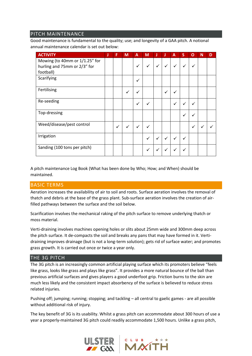#### PITCH MAINTENANCE

Good maintenance is fundamental to the quality; use; and longevity of a GAA pitch. A notional annual maintenance calendar is set out below:

| <b>ACTIVITY</b>                                                | J | F            | M            | A            | M            | J            | J            | A            | S            | O            | N | D |
|----------------------------------------------------------------|---|--------------|--------------|--------------|--------------|--------------|--------------|--------------|--------------|--------------|---|---|
| Mowing (to 40mm or 1/1.25" for<br>hurling and 75mm or 2/3" for |   |              |              | ✓            | ✓            | ✓            | ✓            | $\checkmark$ | $\checkmark$ | ✓            |   |   |
| football)                                                      |   |              |              |              |              |              |              |              |              |              |   |   |
| Scarifying                                                     |   |              |              | $\checkmark$ |              |              |              |              |              |              |   |   |
| Fertilising                                                    |   |              | ✓            | v            |              |              | $\checkmark$ | $\checkmark$ |              |              |   |   |
| Re-seeding                                                     |   |              |              | $\checkmark$ | ✓            |              |              | $\checkmark$ | ✓            | ✓            |   |   |
| Top-dressing                                                   |   |              |              |              |              |              |              |              | ✓            |              |   |   |
| Weed/disease/pest control                                      |   | $\checkmark$ | $\checkmark$ | $\checkmark$ | ✓            |              |              |              |              | $\checkmark$ |   |   |
| Irrigation                                                     |   |              |              |              | ✓            | $\checkmark$ | ✓            | ✓            | ✓            |              |   |   |
| Sanding (100 tons per pitch)                                   |   |              |              |              | $\checkmark$ | ✓            |              | ✓            |              |              |   |   |

A pitch maintenance Log Book (What has been done by Who; How; and When) should be maintained.

#### BASIC TERMS

Aeration increases the availability of air to soil and roots. Surface aeration involves the removal of thatch and debris at the base of the grass plant. Sub-surface aeration involves the creation of airfilled pathways between the surface and the soil below.

Scarification involves the mechanical raking of the pitch surface to remove underlying thatch or moss material.

Verti-draining involves machines opening holes or slits about 25mm wide and 300mm deep across the pitch surface. It de-compacts the soil and breaks any pans that may have formed in it. Vertidraining improves drainage (but is not a long-term solution); gets rid of surface water; and promotes grass growth. It is carried out once or twice a year only.

#### THE 3G PITCH

The 3G pitch is an increasingly common artificial playing surface which its promoters believe "feels like grass, looks like grass and plays like grass". It provides a more natural bounce of the ball than previous artificial surfaces and gives players a good underfoot grip. Friction burns to the skin are much less likely and the consistent impact absorbency of the surface is believed to reduce stress related injuries.

Pushing off; jumping; running; stopping; and tackling – all central to gaelic games - are all possible without additional risk of injury.

The key benefit of 3G is its usability. Whilst a grass pitch can accommodate about 300 hours of use a year a properly-maintained 3G pitch could readily accommodate 1,500 hours. Unlike a grass pitch,

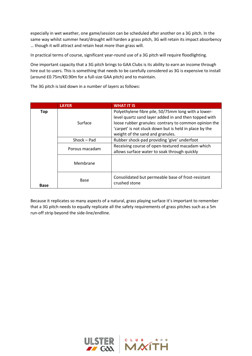especially in wet weather, one game/session can be scheduled after another on a 3G pitch. In the same way whilst summer heat/drought will harden a grass pitch, 3G will retain its impact absorbency … though it will attract and retain heat more than grass will.

In practical terms of course, significant year-round use of a 3G pitch will require floodlighting.

One important capacity that a 3G pitch brings to GAA Clubs is its ability to earn an income through hire out to users. This is something that needs to be carefully considered as 3G is expensive to install (around £0.75m/€0.90m for a full-size GAA pitch) and to maintain.

The 3G pitch is laid down in a number of layers as follows:

|             | <b>LAYER</b>   | <b>WHAT IT IS</b>                                                                                                                                                                                                                                                   |
|-------------|----------------|---------------------------------------------------------------------------------------------------------------------------------------------------------------------------------------------------------------------------------------------------------------------|
| <b>Top</b>  | Surface        | Polyethylene fibre pile, 50/75mm long with a lower-<br>level quartz sand layer added in and then topped with<br>loose rubber granules: contrary to common opinion the<br>'carpet' is not stuck down but is held in place by the<br>weight of the sand and granules. |
|             | Shock - Pad    | Rubber shock-pad providing 'give' underfoot                                                                                                                                                                                                                         |
|             | Porous macadam | Receiving course of open-textured macadam which<br>allows surface water to soak through quickly                                                                                                                                                                     |
|             | Membrane       |                                                                                                                                                                                                                                                                     |
| <b>Base</b> | Base           | Consolidated but permeable base of frost-resistant<br>crushed stone                                                                                                                                                                                                 |

Because it replicates so many aspects of a natural, grass playing surface it's important to remember that a 3G pitch needs to equally replicate all the safety requirements of grass pitches such as a 5m run-off strip beyond the side-line/endline.

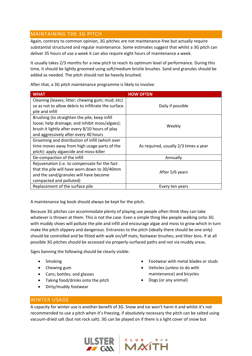# MAINTAINING THE 3G PITCH

Again, contrary to common opinion, 3G pitches are not maintenance-free but actually require substantial structured and regular maintenance. Some estimates suggest that whilst a 3G pitch can deliver 35 hours of use a week it can also require eight hours of maintenance a week.

It usually takes 2/3 months for a new pitch to reach its optimum level of performance. During this time, it should be lightly groomed using soft/medium bristle brushes. Sand and granules should be added as needed. The pitch should not be heavily brushed.

| <b>WHAT</b>                                                                                             | <b>HOW OFTEN</b>                      |  |  |  |  |
|---------------------------------------------------------------------------------------------------------|---------------------------------------|--|--|--|--|
| Cleaning (leaves; litter; chewing gum; mud; etc)<br>so as not to allow debris to infiltrate the surface | Daily if possible                     |  |  |  |  |
| pile and infill                                                                                         |                                       |  |  |  |  |
| Brushing (to straighten the pile; keep infill                                                           |                                       |  |  |  |  |
| loose; help drainage; and inhibit moss/algaes):                                                         | Weekly                                |  |  |  |  |
| brush it lightly after every 8/10 hours of play                                                         |                                       |  |  |  |  |
| and aggressively after every 40 hours                                                                   |                                       |  |  |  |  |
| Grooming and distribution of infill (which over                                                         |                                       |  |  |  |  |
| time moves away from high usage parts of the                                                            | As required, usually 2/3 times a year |  |  |  |  |
| pitch): apply algaecide and moss-killer                                                                 |                                       |  |  |  |  |
| De-compaction of the infill                                                                             | Annually                              |  |  |  |  |
| Rejuvenation (i.e. to compensate for the fact                                                           |                                       |  |  |  |  |
| that the pile will have worn down to 30/40mm                                                            | After 5/6 years                       |  |  |  |  |
| and the sand/granules will have become                                                                  |                                       |  |  |  |  |
| compacted and polluted)                                                                                 |                                       |  |  |  |  |
| Replacement of the surface pile                                                                         | Every ten years                       |  |  |  |  |

After that, a 3G pitch maintenance programme is likely to involve:

A maintenance log book should always be kept for the pitch.

Because 3G pitches can accommodate plenty of playing use people often think they can take whatever is thrown at them. This is not the case. Even a simple thing like people walking onto 3G with muddy shoes will pollute the pile and infill and encourage algae and moss to grow which in turn make the pitch slippery and dangerous. Entrances to the pitch (ideally there should be one only) should be controlled and be fitted with walk on/off mats; footwear brushes; and litter bins. If at all possible 3G pitches should be accessed via properly-surfaced paths and not via muddy areas.

Signs banning the following should be clearly visible:

- Smoking
- Chewing gum
- Cans; bottles; and glasses
- Taking food/drinks onto the pitch
- Dirty/muddy footwear
- Footwear with metal blades or studs
- Vehicles (unless to do with maintenance) and bicycles
- Dogs (or any animal)

# WINTER USAGE

A capacity for winter use is another benefit of 3G. Snow and ice won't harm it and whilst it's not recommended to use a pitch when it's freezing, if absolutely necessary the pitch can be salted using vacuum-dried salt (but not rock salt). 3G can be played on if there is a light cover of snow but



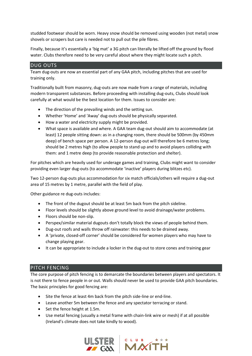studded footwear should be worn. Heavy snow should be removed using wooden (not metal) snow shovels or scrapers but care is needed not to pull out the pile fibres.

Finally, because it's essentially a 'big mat' a 3G pitch can literally be lifted off the ground by flood water. Clubs therefore need to be very careful about where they might locate such a pitch.

## DUG OUTS

Team dug-outs are now an essential part of any GAA pitch, including pitches that are used for training only.

Traditionally built from masonry, dug-outs are now made from a range of materials, including modern transparent substances. Before proceeding with installing dug-outs, Clubs should look carefully at what would be the best location for them. Issues to consider are:

- The direction of the prevailing winds and the setting sun.
- Whether 'Home' and 'Away' dug-outs should be physically separated.
- How a water and electricity supply might be provided.
- What space is available and where. A GAA team dug-out should aim to accommodate (at least) 12 people sitting down: as in a changing room, there should be 500mm (by 450mm deep) of bench space per person. A 12-person dug-out will therefore be 6 metres long; should be 2 metres high (to allow people to stand up and to avoid players colliding with them: and 1 metre deep (to provide reasonable protection and shelter).

For pitches which are heavily used for underage games and training, Clubs might want to consider providing even larger dug-outs (to accommodate 'inactive' players during blitzes etc).

Two 12-person dug-outs plus accommodation for six match officials/others will require a dug-out area of 15 metres by 1 metre, parallel with the field of play.

Other guidance re dug-outs includes:

- The front of the dugout should be at least 5m back from the pitch sideline.
- Floor levels should be slightly above ground level to avoid drainage/water problems.
- Floors should be non-slip.
- Perspex/similar material dugouts don't totally block the views of people behind them.
- Dug-out roofs and walls throw off rainwater: this needs to be drained away.
- A 'private, closed-off corner' should be considered for women players who may have to change playing gear.
- It can be appropriate to include a locker in the dug-out to store cones and training gear

#### PITCH FENCING

The core purpose of pitch fencing is to demarcate the boundaries between players and spectators. It is not there to fence people in or out. Walls should never be used to provide GAA pitch boundaries. The basic principles for good fencing are:

- Site the fence at least 4m back from the pitch side-line or end-line.
- Leave another 5m between the fence and any spectator terracing or stand.
- Set the fence height at 1.5m.
- Use metal fencing (usually a metal frame with chain-link wire or mesh) if at all possible (Ireland's climate does not take kindly to wood).



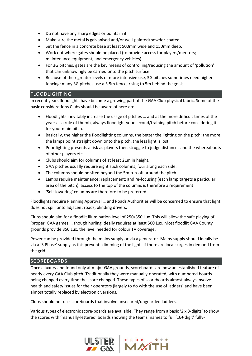- Do not have any sharp edges or points in it
- Make sure the metal is galvanised and/or well-painted/powder-coated.
- Set the fence in a concrete base at least 500mm wide and 150mm deep.
- Work out where gates should be placed (to provide access for players/mentors; maintenance equipment; and emergency vehicles).
- For 3G pitches, gates are the key means of controlling/reducing the amount of 'pollution' that can unknowingly be carried onto the pitch surface.
- Because of their greater levels of more intensive use, 3G pitches sometimes need higher fencing: many 3G pitches use a 3.5m fence, rising to 5m behind the goals.

# FLOODLIGHTING

In recent years floodlights have become a growing part of the GAA Club physical fabric. Some of the basic considerations Clubs should be aware of here are:

- Floodlights inevitably increase the usage of pitches … and at the more difficult times of the year: as a rule of thumb, always floodlight your second/training pitch before considering it for your main pitch.
- Basically, the higher the floodlighting columns, the better the lighting on the pitch: the more the lamps point straight down onto the pitch, the less light is lost.
- Poor lighting presents a risk as players then struggle to judge distances and the whereabouts of other players etc.
- Clubs should aim for columns of at least 21m in height.
- GAA pitches usually require eight such columns, four along each side.
- The columns should be sited beyond the 5m run-off around the pitch.
- Lamps require maintenance; replacement; and re-focusing (each lamp targets a particular area of the pitch): access to the top of the columns is therefore a requirement
- 'Self-lowering' columns are therefore to be preferred.

Floodlights require Planning Approval … and Roads Authorities will be concerned to ensure that light does not spill onto adjacent roads, blinding drivers.

Clubs should aim for a floodlit illumination level of 250/350 Lux. This will allow the safe playing of 'proper' GAA games … though hurling ideally requires at least 500 Lux. Most floodlit GAA County grounds provide 850 Lux, the level needed for colour TV coverage.

Power can be provided through the mains supply or via a generator. Mains supply should ideally be via a '3 Phase' supply as this prevents dimming of the lights if there are local surges in demand from the grid.

#### SCOREBOARDS

Once a luxury and found only at major GAA grounds, scoreboards are now an established feature of nearly every GAA Club pitch. Traditionally they were manually-operated, with numbered boards being changed every time the score changed. These types of scoreboards almost always involve health and safety issues for their operators (largely to do with the use of ladders) and have been almost totally replaced by electronic versions.

Clubs should not use scoreboards that involve unsecured/unguarded ladders.

Various types of electronic score-boards are available. They range from a basic '2 x 3-digits' to show the scores with 'manually-lettered' boards showing the teams' names to full '16+ digit' fully-